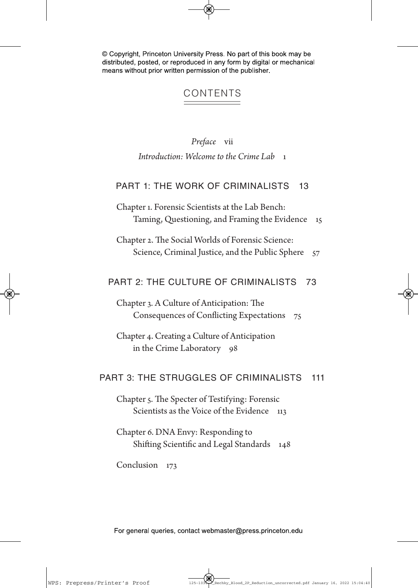### CONTENTS

## *Preface* vii *Introduction: Welcome to the Crime Lab* 1

#### PART 1: THE WORK OF CRIMINALISTS 13

Chapter 1. Forensic Scientists at the Lab Bench: Taming, Questioning, and Framing the Evidence 15

Chapter 2. The Social Worlds of Forensic Science: Science, Criminal Justice, and the Public Sphere 57

#### PART 2: THE CULTURE OF CRIMINALISTS 73

Chapter 3. A Culture of Anticipation: The Consequences of Conflicting Expectations 75

Chapter 4. Creating a Culture of Anticipation in the Crime Laboratory 98

#### PART 3: THE STRUGGLES OF CRIMINALISTS 111

Chapter 5. The Specter of Testifying: Forensic Scientists as the Voice of the Evidence 113

Chapter 6. DNA Envy: Responding to Shifting Scientific and Legal Standards 148

Conclusion 173

For general queries, contact webmaster@press.princeton.edu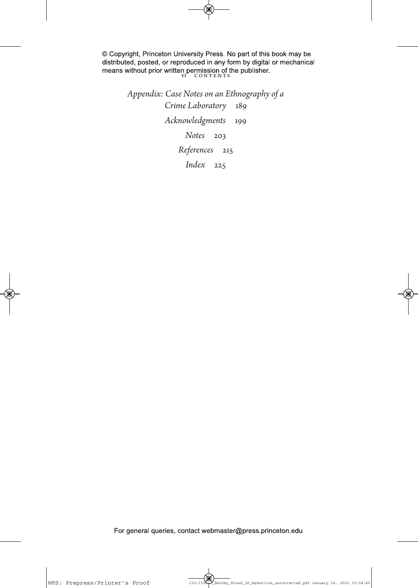> *Appendix: Case Notes on an Ethnography of a Crime Laboratory* 189 *Acknowledgments* 199 *Notes* 203 *References* 215 *Index* 225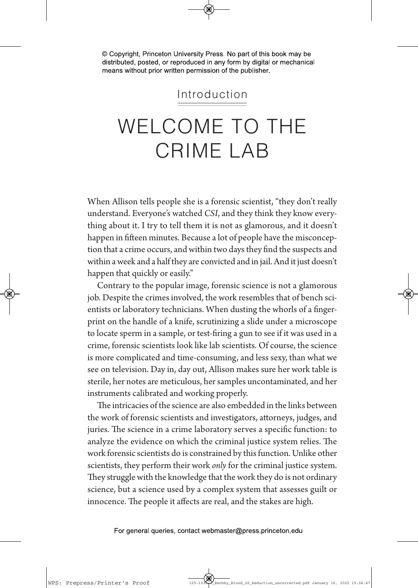## Introduction

# WELCOME TO THE CRIME LAB

When Allison tells people she is a forensic scientist, "they don't really understand. Everyone's watched *CSI*, and they think they know everything about it. I try to tell them it is not as glamorous, and it doesn't happen in fifteen minutes. Because a lot of people have the misconception that a crime occurs, and within two days they find the suspects and within a week and a half they are convicted and in jail. And it just doesn't happen that quickly or easily."

Contrary to the popular image, forensic science is not a glamorous job. Despite the crimes involved, the work resembles that of bench scientists or laboratory technicians. When dusting the whorls of a fingerprint on the handle of a knife, scrutinizing a slide under a microscope to locate sperm in a sample, or test-firing a gun to see if it was used in a crime, forensic scientists look like lab scientists. Of course, the science is more complicated and time-consuming, and less sexy, than what we see on television. Day in, day out, Allison makes sure her work table is sterile, her notes are meticulous, her samples uncontaminated, and her instruments calibrated and working properly.

The intricacies of the science are also embedded in the links between the work of forensic scientists and investigators, attorneys, judges, and juries. The science in a crime laboratory serves a specific function: to analyze the evidence on which the criminal justice system relies. The work forensic scientists do is constrained by this function. Unlike other scientists, they perform their work *only* for the criminal justice system. They struggle with the knowledge that the work they do is not ordinary science, but a science used by a complex system that assesses guilt or innocence. The people it affects are real, and the stakes are high.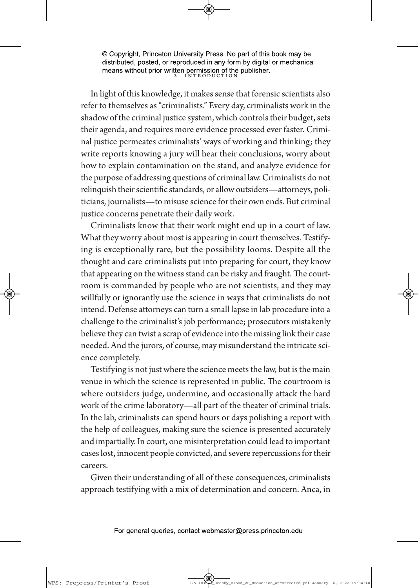In light of this knowledge, it makes sense that forensic scientists also refer to themselves as "criminalists." Every day, criminalists work in the shadow of the criminal justice system, which controls their budget, sets their agenda, and requires more evidence processed ever faster. Criminal justice permeates criminalists' ways of working and thinking; they write reports knowing a jury will hear their conclusions, worry about how to explain contamination on the stand, and analyze evidence for the purpose of addressing questions of criminal law. Criminalists do not relinquish their scientific standards, or allow outsiders—attorneys, politicians, journalists—to misuse science for their own ends. But criminal justice concerns penetrate their daily work.

Criminalists know that their work might end up in a court of law. What they worry about most is appearing in court themselves. Testifying is exceptionally rare, but the possibility looms. Despite all the thought and care criminalists put into preparing for court, they know that appearing on the witness stand can be risky and fraught. The courtroom is commanded by people who are not scientists, and they may willfully or ignorantly use the science in ways that criminalists do not intend. Defense attorneys can turn a small lapse in lab procedure into a challenge to the criminalist's job performance; prosecutors mistakenly believe they can twist a scrap of evidence into the missing link their case needed. And the jurors, of course, may misunderstand the intricate science completely.

Testifying is not just where the science meets the law, but is the main venue in which the science is represented in public. The courtroom is where outsiders judge, undermine, and occasionally attack the hard work of the crime laboratory—all part of the theater of criminal trials. In the lab, criminalists can spend hours or days polishing a report with the help of colleagues, making sure the science is presented accurately and impartially. In court, one misinterpretation could lead to important cases lost, innocent people convicted, and severe repercussions for their careers.

Given their understanding of all of these consequences, criminalists approach testifying with a mix of determination and concern. Anca, in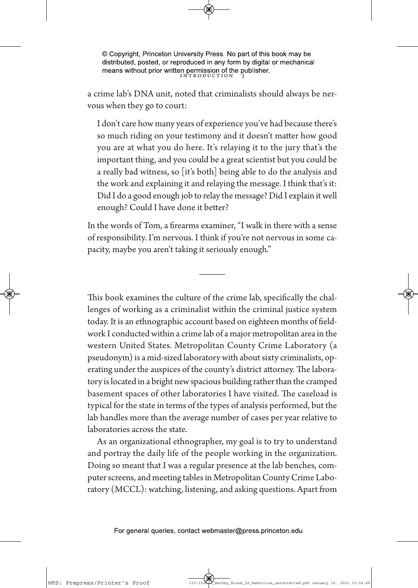a crime lab's DNA unit, noted that criminalists should always be nervous when they go to court:

I don't care how many years of experience you've had because there's so much riding on your testimony and it doesn't matter how good you are at what you do here. It's relaying it to the jury that's the important thing, and you could be a great scientist but you could be a really bad witness, so [it's both] being able to do the analysis and the work and explaining it and relaying the message. I think that's it: Did I do a good enough job to relay the message? Did I explain it well enough? Could I have done it better?

In the words of Tom, a firearms examiner, "I walk in there with a sense of responsibility. I'm nervous. I think if you're not nervous in some capacity, maybe you aren't taking it seriously enough."

———

This book examines the culture of the crime lab, specifically the challenges of working as a criminalist within the criminal justice system today. It is an ethnographic account based on eighteen months of fieldwork I conducted within a crime lab of a major metropolitan area in the western United States. Metropolitan County Crime Laboratory (a pseudonym) is a mid-sized laboratory with about sixty criminalists, operating under the auspices of the county's district attorney. The laboratory is located in a bright new spacious building rather than the cramped basement spaces of other laboratories I have visited. The caseload is typical for the state in terms of the types of analysis performed, but the lab handles more than the average number of cases per year relative to laboratories across the state.

As an organizational ethnographer, my goal is to try to understand and portray the daily life of the people working in the organization. Doing so meant that I was a regular presence at the lab benches, computer screens, and meeting tables in Metropolitan County Crime Laboratory (MCCL): watching, listening, and asking questions. Apart from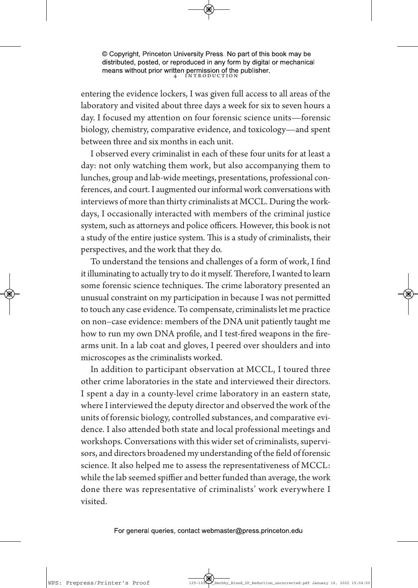entering the evidence lockers, I was given full access to all areas of the laboratory and visited about three days a week for six to seven hours a day. I focused my attention on four forensic science units—forensic biology, chemistry, comparative evidence, and toxicology—and spent between three and six months in each unit.

I observed every criminalist in each of these four units for at least a day: not only watching them work, but also accompanying them to lunches, group and lab-wide meetings, presentations, professional conferences, and court. I augmented our informal work conversations with interviews of more than thirty criminalists at MCCL. During the workdays, I occasionally interacted with members of the criminal justice system, such as attorneys and police officers. However, this book is not a study of the entire justice system. This is a study of criminalists, their perspectives, and the work that they do.

To understand the tensions and challenges of a form of work, I find it illuminating to actually try to do it myself. Therefore, I wanted to learn some forensic science techniques. The crime laboratory presented an unusual constraint on my participation in because I was not permitted to touch any case evidence. To compensate, criminalists let me practice on non–case evidence: members of the DNA unit patiently taught me how to run my own DNA profile, and I test-fired weapons in the firearms unit. In a lab coat and gloves, I peered over shoulders and into microscopes as the criminalists worked.

In addition to participant observation at MCCL, I toured three other crime laboratories in the state and interviewed their directors. I spent a day in a county-level crime laboratory in an eastern state, where I interviewed the deputy director and observed the work of the units of forensic biology, controlled substances, and comparative evidence. I also attended both state and local professional meetings and workshops. Conversations with this wider set of criminalists, supervisors, and directors broadened my understanding of the field of forensic science. It also helped me to assess the representativeness of MCCL: while the lab seemed spiffier and better funded than average, the work done there was representative of criminalists' work everywhere I visited.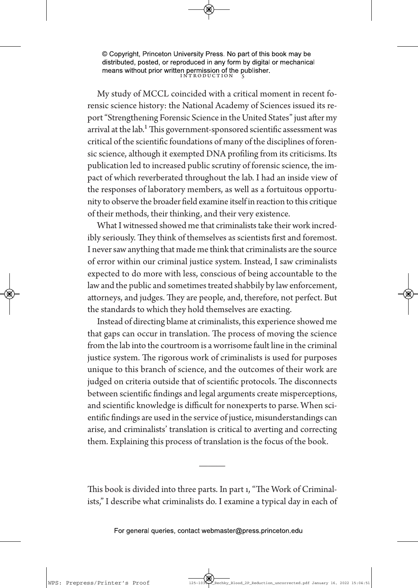My study of MCCL coincided with a critical moment in recent forensic science history: the National Academy of Sciences issued its report "Strengthening Forensic Science in the United States" just after my arrival at the lab.<sup>1</sup> This government-sponsored scientific assessment was critical of the scientific foundations of many of the disciplines of forensic science, although it exempted DNA profiling from its criticisms. Its publication led to increased public scrutiny of forensic science, the impact of which reverberated throughout the lab. I had an inside view of the responses of laboratory members, as well as a fortuitous opportunity to observe the broader field examine itself in reaction to this critique of their methods, their thinking, and their very existence.

What I witnessed showed me that criminalists take their work incredibly seriously. They think of themselves as scientists first and foremost. I never saw anything that made me think that criminalists are the source of error within our criminal justice system. Instead, I saw criminalists expected to do more with less, conscious of being accountable to the law and the public and sometimes treated shabbily by law enforcement, attorneys, and judges. They are people, and, therefore, not perfect. But the standards to which they hold themselves are exacting.

Instead of directing blame at criminalists, this experience showed me that gaps can occur in translation. The process of moving the science from the lab into the courtroom is a worrisome fault line in the criminal justice system. The rigorous work of criminalists is used for purposes unique to this branch of science, and the outcomes of their work are judged on criteria outside that of scientific protocols. The disconnects between scientific findings and legal arguments create misperceptions, and scientific knowledge is difficult for nonexperts to parse. When scientific findings are used in the service of justice, misunderstandings can arise, and criminalists' translation is critical to averting and correcting them. Explaining this process of translation is the focus of the book.

This book is divided into three parts. In part 1, "The Work of Criminalists," I describe what criminalists do*.* I examine a typical day in each of

———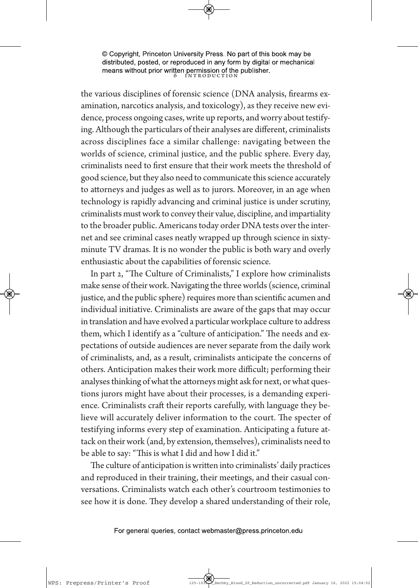© Copyright, Princeton University Press. No part of this book may be distributed, posted, or reproduced in any form by digital or mechanical 6 Introduction

the various disciplines of forensic science (DNA analysis, firearms examination, narcotics analysis, and toxicology), as they receive new evidence, process ongoing cases, write up reports, and worry about testifying. Although the particulars of their analyses are different, criminalists across disciplines face a similar challenge: navigating between the worlds of science, criminal justice, and the public sphere. Every day, criminalists need to first ensure that their work meets the threshold of good science, but they also need to communicate this science accurately to attorneys and judges as well as to jurors. Moreover, in an age when technology is rapidly advancing and criminal justice is under scrutiny, criminalists must work to convey their value, discipline, and impartiality to the broader public. Americans today order DNA tests over the internet and see criminal cases neatly wrapped up through science in sixtyminute TV dramas. It is no wonder the public is both wary and overly enthusiastic about the capabilities of forensic science.

In part 2, "The Culture of Criminalists," I explore how criminalists make sense of their work. Navigating the three worlds (science, criminal justice, and the public sphere) requires more than scientific acumen and individual initiative. Criminalists are aware of the gaps that may occur in translation and have evolved a particular workplace culture to address them, which I identify as a "culture of anticipation." The needs and expectations of outside audiences are never separate from the daily work of criminalists, and, as a result, criminalists anticipate the concerns of others. Anticipation makes their work more difficult; performing their analyses thinking of what the attorneys might ask for next, or what questions jurors might have about their processes, is a demanding experience. Criminalists craft their reports carefully, with language they believe will accurately deliver information to the court. The specter of testifying informs every step of examination. Anticipating a future attack on their work (and, by extension, themselves), criminalists need to be able to say: "This is what I did and how I did it."

The culture of anticipation is written into criminalists' daily practices and reproduced in their training, their meetings, and their casual conversations. Criminalists watch each other's courtroom testimonies to see how it is done. They develop a shared understanding of their role,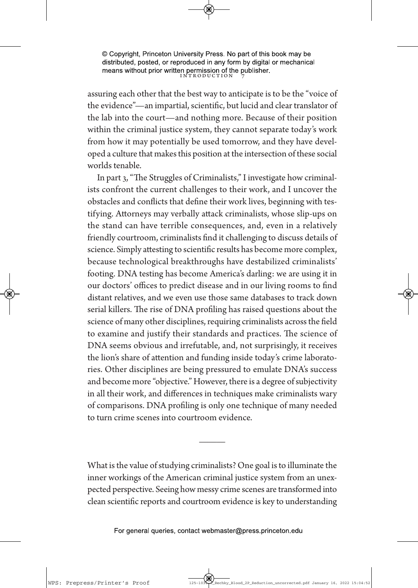assuring each other that the best way to anticipate is to be the "voice of the evidence"—an impartial, scientific, but lucid and clear translator of the lab into the court—and nothing more. Because of their position within the criminal justice system, they cannot separate today's work from how it may potentially be used tomorrow, and they have developed a culture that makes this position at the intersection of these social worlds tenable.

In part 3, "The Struggles of Criminalists," I investigate how criminalists confront the current challenges to their work, and I uncover the obstacles and conflicts that define their work lives, beginning with testifying. Attorneys may verbally attack criminalists, whose slip-ups on the stand can have terrible consequences, and, even in a relatively friendly courtroom, criminalists find it challenging to discuss details of science. Simply attesting to scientific results has become more complex, because technological breakthroughs have destabilized criminalists' footing. DNA testing has become America's darling: we are using it in our doctors' offices to predict disease and in our living rooms to find distant relatives, and we even use those same databases to track down serial killers. The rise of DNA profiling has raised questions about the science of many other disciplines, requiring criminalists across the field to examine and justify their standards and practices. The science of DNA seems obvious and irrefutable, and, not surprisingly, it receives the lion's share of attention and funding inside today's crime laboratories. Other disciplines are being pressured to emulate DNA's success and become more "objective." However, there is a degree of subjectivity in all their work, and differences in techniques make criminalists wary of comparisons. DNA profiling is only one technique of many needed to turn crime scenes into courtroom evidence.

What is the value of studying criminalists? One goal is to illuminate the inner workings of the American criminal justice system from an unexpected perspective. Seeing how messy crime scenes are transformed into clean scientific reports and courtroom evidence is key to understanding

———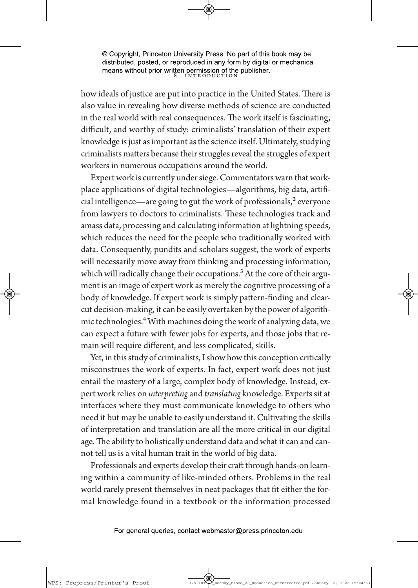how ideals of justice are put into practice in the United States. There is also value in revealing how diverse methods of science are conducted in the real world with real consequences. The work itself is fascinating, difficult, and worthy of study: criminalists' translation of their expert knowledge is just as important as the science itself. Ultimately, studying criminalists matters because their struggles reveal the struggles of expert workers in numerous occupations around the world.

Expert work is currently under siege. Commentators warn that workplace applications of digital technologies—algorithms, big data, artificial intelligence—are going to gut the work of professionals, $<sup>2</sup>$  everyone</sup> from lawyers to doctors to criminalists. These technologies track and amass data, processing and calculating information at lightning speeds, which reduces the need for the people who traditionally worked with data. Consequently, pundits and scholars suggest, the work of experts will necessarily move away from thinking and processing information, which will radically change their occupations.<sup>3</sup> At the core of their argument is an image of expert work as merely the cognitive processing of a body of knowledge. If expert work is simply pattern-finding and clearcut decision-making, it can be easily overtaken by the power of algorithmic technologies.4 With machines doing the work of analyzing data, we can expect a future with fewer jobs for experts, and those jobs that remain will require different, and less complicated, skills.

Yet, in this study of criminalists, I show how this conception critically misconstrues the work of experts. In fact, expert work does not just entail the mastery of a large, complex body of knowledge. Instead, expert work relies on *interpreting* and *translating* knowledge. Experts sit at interfaces where they must communicate knowledge to others who need it but may be unable to easily understand it. Cultivating the skills of interpretation and translation are all the more critical in our digital age. The ability to holistically understand data and what it can and cannot tell us is a vital human trait in the world of big data.

Professionals and experts develop their craft through hands-on learning within a community of like-minded others. Problems in the real world rarely present themselves in neat packages that fit either the formal knowledge found in a textbook or the information processed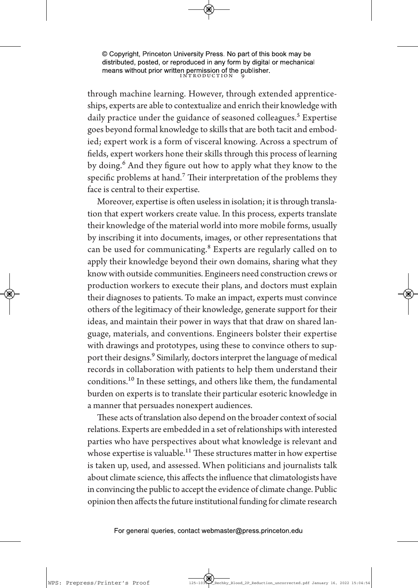through machine learning. However, through extended apprenticeships, experts are able to contextualize and enrich their knowledge with daily practice under the guidance of seasoned colleagues.<sup>5</sup> Expertise goes beyond formal knowledge to skills that are both tacit and embodied; expert work is a form of visceral knowing. Across a spectrum of fields, expert workers hone their skills through this process of learning by doing.6 And they figure out how to apply what they know to the specific problems at hand.<sup>7</sup> Their interpretation of the problems they face is central to their expertise.

Moreover, expertise is often useless in isolation; it is through translation that expert workers create value. In this process, experts translate their knowledge of the material world into more mobile forms, usually by inscribing it into documents, images, or other representations that can be used for communicating.8 Experts are regularly called on to apply their knowledge beyond their own domains, sharing what they know with outside communities. Engineers need construction crews or production workers to execute their plans, and doctors must explain their diagnoses to patients. To make an impact, experts must convince others of the legitimacy of their knowledge, generate support for their ideas, and maintain their power in ways that that draw on shared language, materials, and conventions. Engineers bolster their expertise with drawings and prototypes, using these to convince others to support their designs.<sup>9</sup> Similarly, doctors interpret the language of medical records in collaboration with patients to help them understand their conditions.10 In these settings, and others like them, the fundamental burden on experts is to translate their particular esoteric knowledge in a manner that persuades nonexpert audiences.

These acts of translation also depend on the broader context of social relations. Experts are embedded in a set of relationships with interested parties who have perspectives about what knowledge is relevant and whose expertise is valuable.<sup>11</sup> These structures matter in how expertise is taken up, used, and assessed. When politicians and journalists talk about climate science, this affects the influence that climatologists have in convincing the public to accept the evidence of climate change. Public opinion then affects the future institutional funding for climate research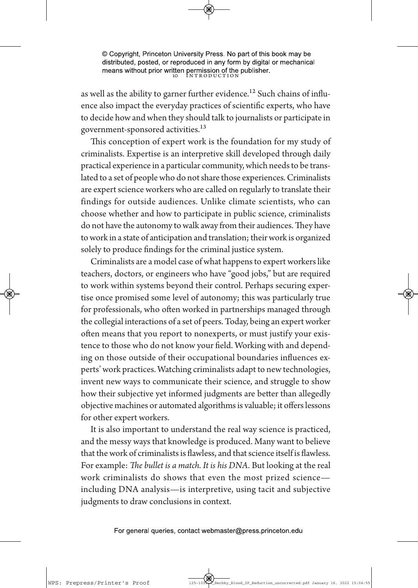as well as the ability to garner further evidence.<sup>12</sup> Such chains of influence also impact the everyday practices of scientific experts, who have to decide how and when they should talk to journalists or participate in government-sponsored activities.13

This conception of expert work is the foundation for my study of criminalists. Expertise is an interpretive skill developed through daily practical experience in a particular community, which needs to be translated to a set of people who do not share those experiences. Criminalists are expert science workers who are called on regularly to translate their findings for outside audiences. Unlike climate scientists, who can choose whether and how to participate in public science, criminalists do not have the autonomy to walk away from their audiences. They have to work in a state of anticipation and translation; their work is organized solely to produce findings for the criminal justice system.

Criminalists are a model case of what happens to expert workers like teachers, doctors, or engineers who have "good jobs," but are required to work within systems beyond their control. Perhaps securing expertise once promised some level of autonomy; this was particularly true for professionals, who often worked in partnerships managed through the collegial interactions of a set of peers. Today, being an expert worker often means that you report to nonexperts, or must justify your existence to those who do not know your field. Working with and depending on those outside of their occupational boundaries influences experts' work practices. Watching criminalists adapt to new technologies, invent new ways to communicate their science, and struggle to show how their subjective yet informed judgments are better than allegedly objective machines or automated algorithms is valuable; it offers lessons for other expert workers.

It is also important to understand the real way science is practiced, and the messy ways that knowledge is produced. Many want to believe that the work of criminalists is flawless, and that science itself is flawless. For example: *The bullet is a match. It is his DNA.* But looking at the real work criminalists do shows that even the most prized science including DNA analysis—is interpretive, using tacit and subjective judgments to draw conclusions in context.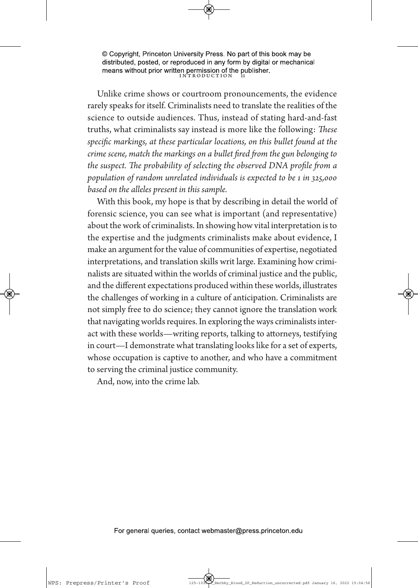Unlike crime shows or courtroom pronouncements, the evidence rarely speaks for itself. Criminalists need to translate the realities of the science to outside audiences. Thus, instead of stating hard-and-fast truths, what criminalists say instead is more like the following: *These specific markings, at these particular locations, on this bullet found at the crime scene, match the markings on a bullet fired from the gun belonging to the suspect. The probability of selecting the observed DNA profile from a population of random unrelated individuals is expected to be 1 in 325,000 based on the alleles present in this sample.*

With this book, my hope is that by describing in detail the world of forensic science, you can see what is important (and representative) about the work of criminalists. In showing how vital interpretation is to the expertise and the judgments criminalists make about evidence, I make an argument for the value of communities of expertise, negotiated interpretations, and translation skills writ large. Examining how criminalists are situated within the worlds of criminal justice and the public, and the different expectations produced within these worlds, illustrates the challenges of working in a culture of anticipation. Criminalists are not simply free to do science; they cannot ignore the translation work that navigating worlds requires. In exploring the ways criminalists interact with these worlds—writing reports, talking to attorneys, testifying in court—I demonstrate what translating looks like for a set of experts, whose occupation is captive to another, and who have a commitment to serving the criminal justice community.

And, now, into the crime lab.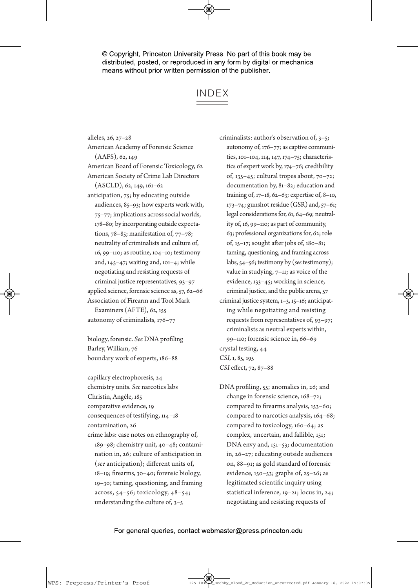## INDEX

alleles, 26, 27–28 American Academy of Forensic Science (AAFS), 62, 149 American Board of Forensic Toxicology, 62 American Society of Crime Lab Directors (ASCLD), 62, 149, 161–62 anticipation, 75; by educating outside audiences, 85–93; how experts work with, 75–77; implications across social worlds, 178–80; by incorporating outside expectations, 78–85; manifestation of, 77–78; neutrality of criminalists and culture of, 16, 99–110; as routine, 104–10; testimony and, 145–47; waiting and, 101–4; while negotiating and resisting requests of criminal justice representatives, 93–97 applied science, forensic science as, 57, 62–66 Association of Firearm and Tool Mark Examiners (AFTE), 62, 155 autonomy of criminalists, 176–77

biology, forensic. *See* DNA profiling Barley, William, 76 boundary work of experts, 186–88

capillary electrophoresis, 24 chemistry units. *See* narcotics labs Christin, Angèle, 185 comparative evidence, 19 consequences of testifying, 114–18 contamination, 26

crime labs: case notes on ethnography of, 189–98; chemistry unit, 40–48; contamination in, 26; culture of anticipation in (*see* anticipation); different units of, 18–19; firearms, 30–40; forensic biology, 19–30; taming, questioning, and framing across, 54–56; toxicology, 48–54; understanding the culture of, 3–5

criminalists: author's observation of, 3–5; autonomy of, 176–77; as captive communities, 101–104, 114, 147, 174–75; characteristics of expert work by, 174–76; credibility of, 135–45; cultural tropes about, 70–72; documentation by, 81–82; education and training of, 17–18, 62–63; expertise of, 8–10, 173–74; gunshot residue (GSR) and, 57–61; legal considerations for, 61, 64–69; neutrality of, 16, 99–110; as part of community, 63; professional organizations for, 62; role of, 15–17; sought after jobs of, 180–81; taming, questioning, and framing across labs, 54–56; testimony by (*see* testimony); value in studying, 7–11; as voice of the evidence, 133–45; working in science, criminal justice, and the public arena, 57 criminal justice system, 1–3, 15–16; anticipating while negotiating and resisting requests from representatives of, 93–97; criminalists as neutral experts within,

99–110; forensic science in, 66–69 crystal testing, 44 *CSI,* 1, 85, 195 *CSI* effect, 72, 87–88

DNA profiling, 55; anomalies in, 26; and change in forensic science, 168–72; compared to firearms analysis, 153–60; compared to narcotics analysis, 164–68; compared to toxicology, 160–64; as complex, uncertain, and fallible, 151; DNA envy and, 151–53; documentation in, 26–27; educating outside audiences on, 88–91; as gold standard of forensic evidence, 150–53; graphs of, 25–26; as legitimated scientific inquiry using statistical inference, 19–21; locus in, 24; negotiating and resisting requests of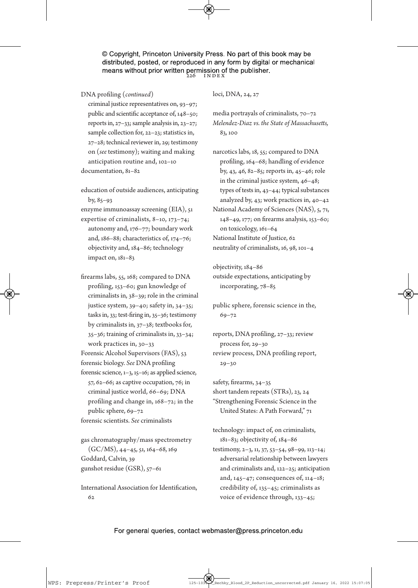#### DNA profiling (*continued*)

criminal justice representatives on, 93–97; public and scientific acceptance of, 148–50; reports in, 27–33; sample analysis in, 23–27; sample collection for, 22–23; statistics in, 27–28; technical reviewer in, 29; testimony on (*see* testimony); waiting and making anticipation routine and, 102–10 documentation, 81–82

education of outside audiences, anticipating  $by, 85 - 93$ 

enzyme immunoassay screening (EIA), 51 expertise of criminalists, 8–10, 173–74; autonomy and, 176–77; boundary work and, 186–88; characteristics of, 174–76;

objectivity and, 184–86; technology impact on, 181–83

firearms labs, 55, 168; compared to DNA profiling, 153–60; gun knowledge of criminalists in, 38–39; role in the criminal justice system, 39–40; safety in, 34–35; tasks in, 33; test-firing in, 35–36; testimony by criminalists in, 37–38; textbooks for, 35–36; training of criminalists in, 33–34; work practices in, 30–33

Forensic Alcohol Supervisors (FAS), 53 forensic biology. *See* DNA profiling

forensic science,  $1-3$ ,  $15-16$ ; as applied science, 57, 62–66; as captive occupation, 76; in criminal justice world, 66–69; DNA profiling and change in, 168–72; in the public sphere, 69–72 forensic scientists. *See* criminalists

gas chromatography/mass spectrometry  $(GC/MS)$ , 44-45, 51, 164-68, 169 Goddard, Calvin, 39 gunshot residue (GSR), 57–61

International Association for Identification, 62

loci, DNA, 24, 27

media portrayals of criminalists, 70–72 *Melendez-Diaz vs. the State of Massachusetts,* 83, 100

narcotics labs, 18, 55; compared to DNA profiling, 164–68; handling of evidence by, 43, 46, 82–85; reports in, 45–46; role in the criminal justice system, 46–48; types of tests in, 43–44; typical substances analyzed by, 43; work practices in, 40–42 National Academy of Sciences (NAS), 5, 71, 148–49, 177; on firearms analysis, 153–60; on toxicology, 161–64 National Institute of Justice, 62 neutrality of criminalists, 16, 98, 101–4

objectivity, 184–86

outside expectations, anticipating by incorporating, 78–85

public sphere, forensic science in the, 69–72

reports, DNA profiling, 27–33; review process for, 29–30 review process, DNA profiling report,  $29 - 30$ 

safety, firearms, 34–35 short tandem repeats (STRs), 23, 24 "Strengthening Forensic Science in the United States: A Path Forward," 71

technology: impact of, on criminalists, 181–83; objectivity of, 184–86 testimony, 2–3, 11, 37, 53–54, 98–99, 113–14; adversarial relationship between lawyers and criminalists and, 122–25; anticipation and, 145–47; consequences of, 114–18; credibility of, 135–45; criminalists as voice of evidence through, 133–45;